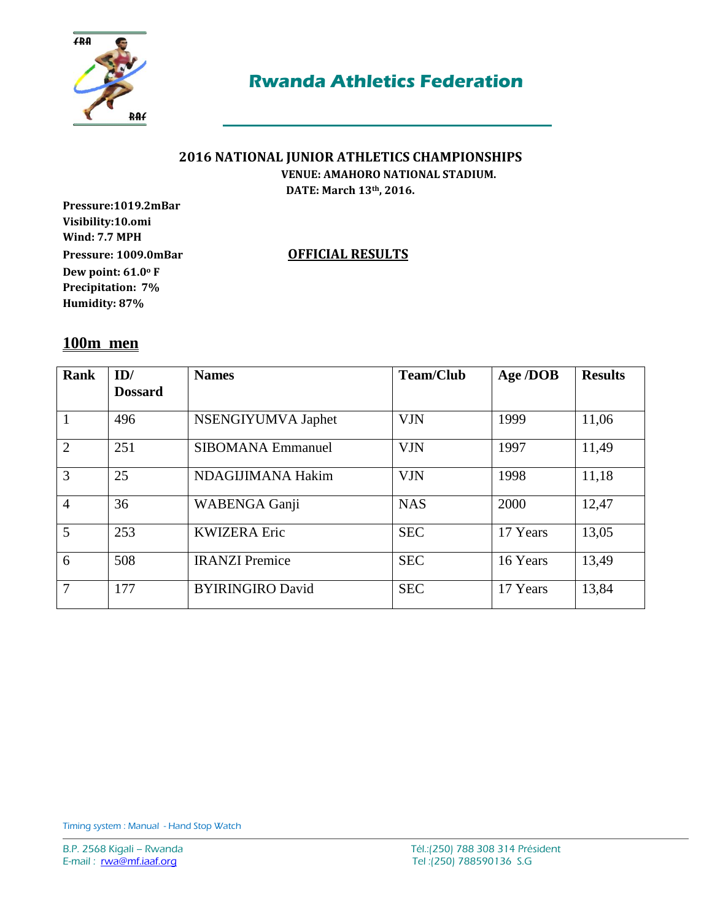

### **2016 NATIONAL JUNIOR ATHLETICS CHAMPIONSHIPS VENUE: AMAHORO NATIONAL STADIUM.**

**DATE: March 13th, 2016.**

**Pressure:1019.2mBar Visibility:10.omi Wind: 7.7 MPH Pressure: 1009.0mBar OFFICIAL RESULTS Dew point: 61.0<sup>o</sup> F Precipitation: 7% Humidity: 87%**

## **100m men**

| Rank           | ID/<br><b>Dossard</b> | <b>Names</b>             | <b>Team/Club</b> | Age /DOB | <b>Results</b> |
|----------------|-----------------------|--------------------------|------------------|----------|----------------|
|                |                       |                          |                  |          |                |
|                | 496                   | NSENGIYUMVA Japhet       | <b>VJN</b>       | 1999     | 11,06          |
| $\overline{2}$ | 251                   | <b>SIBOMANA Emmanuel</b> | <b>VJN</b>       | 1997     | 11,49          |
| 3              | 25                    | NDAGIJIMANA Hakim        | <b>VJN</b>       | 1998     | 11,18          |
| $\overline{4}$ | 36                    | WABENGA Ganji            | <b>NAS</b>       | 2000     | 12,47          |
| 5              | 253                   | <b>KWIZERA Eric</b>      | <b>SEC</b>       | 17 Years | 13,05          |
| 6              | 508                   | <b>IRANZI</b> Premice    | <b>SEC</b>       | 16 Years | 13,49          |
| 7              | 177                   | <b>BYIRINGIRO David</b>  | <b>SEC</b>       | 17 Years | 13,84          |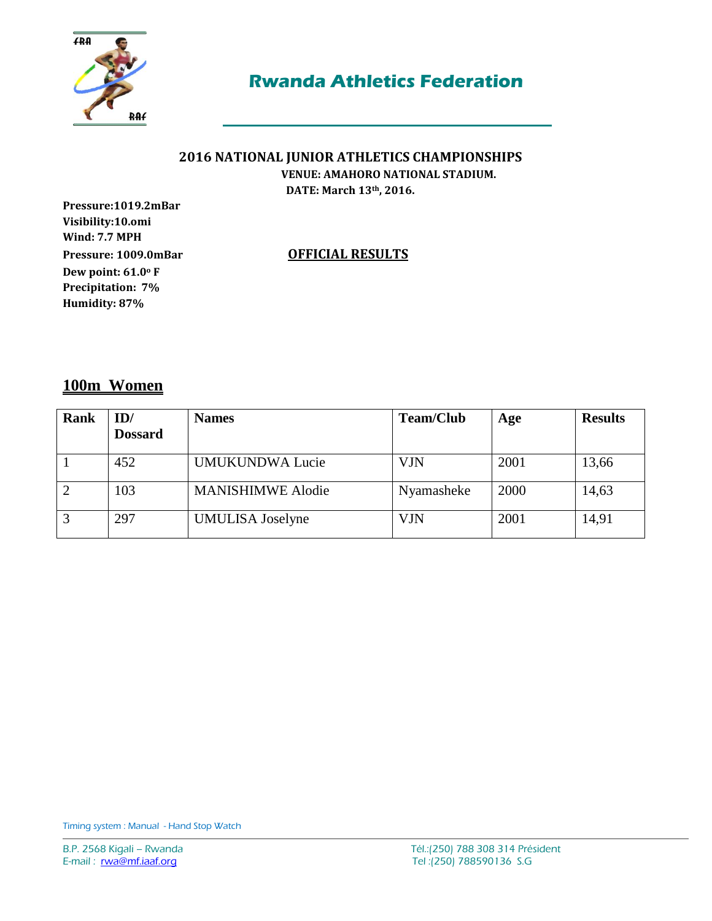

## **2016 NATIONAL JUNIOR ATHLETICS CHAMPIONSHIPS**

 **VENUE: AMAHORO NATIONAL STADIUM. DATE: March 13th, 2016.**

**Pressure:1019.2mBar Visibility:10.omi Wind: 7.7 MPH Pressure: 1009.0mBar OFFICIAL RESULTS Dew point: 61.0<sup>o</sup> F Precipitation: 7% Humidity: 87%**

## **100m Women**

| Rank | ID/            | <b>Names</b>             | <b>Team/Club</b> | Age  | <b>Results</b> |
|------|----------------|--------------------------|------------------|------|----------------|
|      | <b>Dossard</b> |                          |                  |      |                |
|      | 452            | <b>UMUKUNDWA Lucie</b>   | <b>VJN</b>       | 2001 | 13,66          |
|      | 103            | <b>MANISHIMWE Alodie</b> | Nyamasheke       | 2000 | 14,63          |
| 3    | 297            | <b>UMULISA</b> Joselyne  | VJN              | 2001 | 14,91          |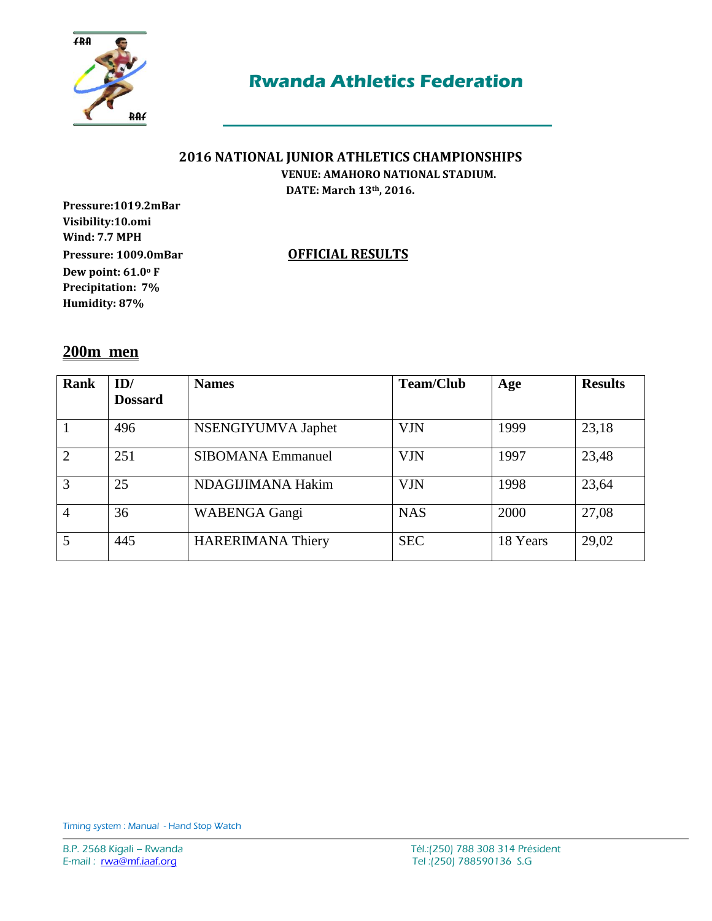

## **2016 NATIONAL JUNIOR ATHLETICS CHAMPIONSHIPS**

 **VENUE: AMAHORO NATIONAL STADIUM. DATE: March 13th, 2016.**

**Pressure:1019.2mBar Visibility:10.omi Wind: 7.7 MPH Pressure: 1009.0mBar OFFICIAL RESULTS Dew point: 61.0<sup>o</sup> F Precipitation: 7% Humidity: 87%**

### **200m men**

| Rank           | ID/            | <b>Names</b>             | <b>Team/Club</b> | Age      | <b>Results</b> |
|----------------|----------------|--------------------------|------------------|----------|----------------|
|                | <b>Dossard</b> |                          |                  |          |                |
|                | 496            | NSENGIYUMVA Japhet       | <b>VJN</b>       | 1999     | 23,18          |
| $\overline{2}$ | 251            | <b>SIBOMANA Emmanuel</b> | <b>VJN</b>       | 1997     | 23,48          |
| 3              | 25             | NDAGIJIMANA Hakim        | <b>VJN</b>       | 1998     | 23,64          |
| 4              | 36             | <b>WABENGA Gangi</b>     | <b>NAS</b>       | 2000     | 27,08          |
| 5              | 445            | <b>HARERIMANA Thiery</b> | <b>SEC</b>       | 18 Years | 29,02          |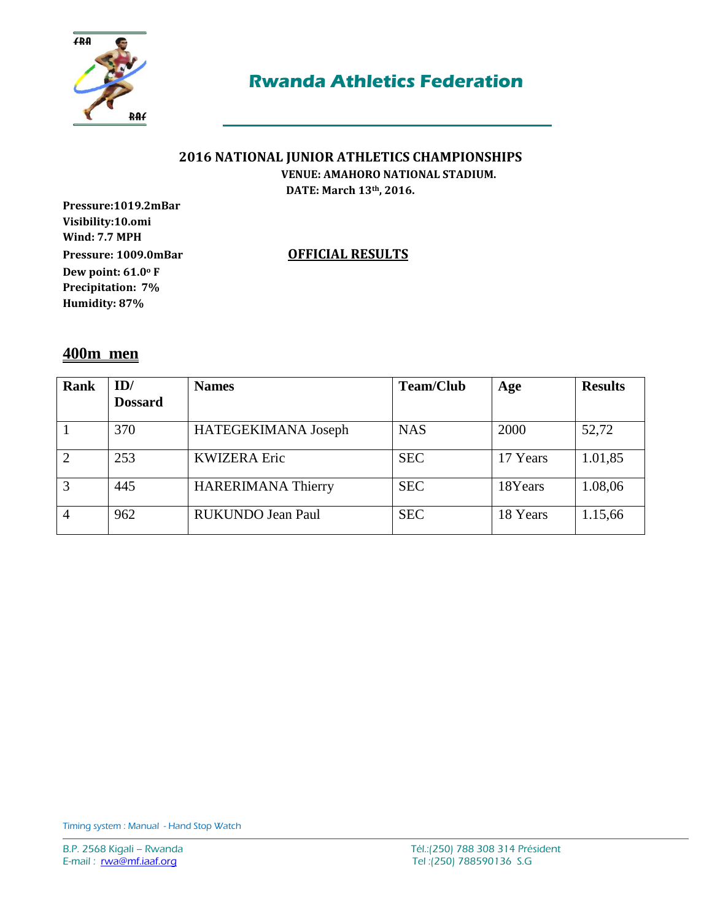

## **2016 NATIONAL JUNIOR ATHLETICS CHAMPIONSHIPS**

 **VENUE: AMAHORO NATIONAL STADIUM. DATE: March 13th, 2016.**

**Pressure:1019.2mBar Visibility:10.omi Wind: 7.7 MPH Pressure: 1009.0mBar OFFICIAL RESULTS Dew point: 61.0<sup>o</sup> F Precipitation: 7% Humidity: 87%**

### **400m men**

| Rank | ID/<br><b>Dossard</b> | <b>Names</b>              | <b>Team/Club</b> | Age      | <b>Results</b> |
|------|-----------------------|---------------------------|------------------|----------|----------------|
|      | 370                   | HATEGEKIMANA Joseph       | <b>NAS</b>       | 2000     | 52,72          |
| 2    | 253                   | <b>KWIZERA Eric</b>       | <b>SEC</b>       | 17 Years | 1.01,85        |
| 3    | 445                   | <b>HARERIMANA Thierry</b> | <b>SEC</b>       | 18Years  | 1.08,06        |
| 4    | 962                   | RUKUNDO Jean Paul         | <b>SEC</b>       | 18 Years | 1.15,66        |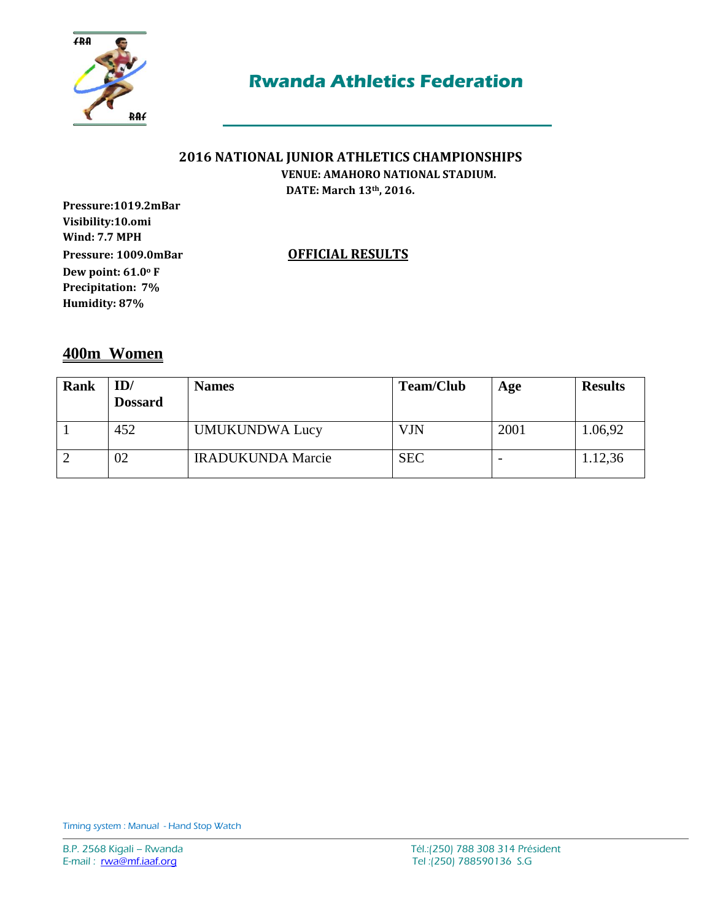

### **2016 NATIONAL JUNIOR ATHLETICS CHAMPIONSHIPS VENUE: AMAHORO NATIONAL STADIUM.**

**DATE: March 13th, 2016.**

**Pressure:1019.2mBar Visibility:10.omi Wind: 7.7 MPH Pressure: 1009.0mBar OFFICIAL RESULTS Dew point: 61.0<sup>o</sup> F Precipitation: 7% Humidity: 87%**

**400m Women** 

| <b>Rank</b> | ID/<br><b>Dossard</b> | <b>Names</b>             | <b>Team/Club</b> | Age  | <b>Results</b> |
|-------------|-----------------------|--------------------------|------------------|------|----------------|
|             | 452                   | <b>UMUKUNDWA Lucy</b>    | <b>VJN</b>       | 2001 | 1.06,92        |
|             | 02                    | <b>IRADUKUNDA Marcie</b> | <b>SEC</b>       |      | 1.12,36        |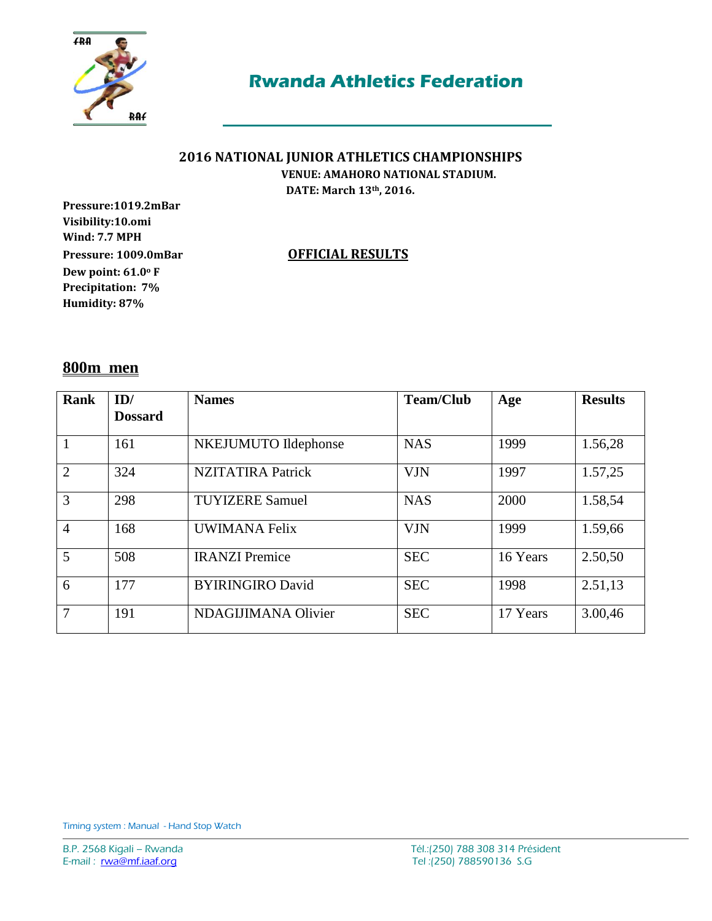

## **2016 NATIONAL JUNIOR ATHLETICS CHAMPIONSHIPS**

 **VENUE: AMAHORO NATIONAL STADIUM. DATE: March 13th, 2016.**

**Pressure:1019.2mBar Visibility:10.omi Wind: 7.7 MPH Pressure: 1009.0mBar OFFICIAL RESULTS Dew point: 61.0<sup>o</sup> F Precipitation: 7% Humidity: 87%**

### **800m men**

| <b>Rank</b>    | ID/            | <b>Names</b>             | <b>Team/Club</b> | Age      | <b>Results</b> |
|----------------|----------------|--------------------------|------------------|----------|----------------|
|                | <b>Dossard</b> |                          |                  |          |                |
|                | 161            | NKEJUMUTO Ildephonse     | <b>NAS</b>       | 1999     | 1.56,28        |
| $\overline{2}$ | 324            | <b>NZITATIRA Patrick</b> | <b>VJN</b>       | 1997     | 1.57,25        |
| 3              | 298            | <b>TUYIZERE Samuel</b>   | <b>NAS</b>       | 2000     | 1.58,54        |
| $\overline{4}$ | 168            | <b>UWIMANA Felix</b>     | <b>VJN</b>       | 1999     | 1.59,66        |
| 5              | 508            | <b>IRANZI</b> Premice    | <b>SEC</b>       | 16 Years | 2.50,50        |
| 6              | 177            | <b>BYIRINGIRO David</b>  | <b>SEC</b>       | 1998     | 2.51,13        |
| 7              | 191            | NDAGIJIMANA Olivier      | <b>SEC</b>       | 17 Years | 3.00,46        |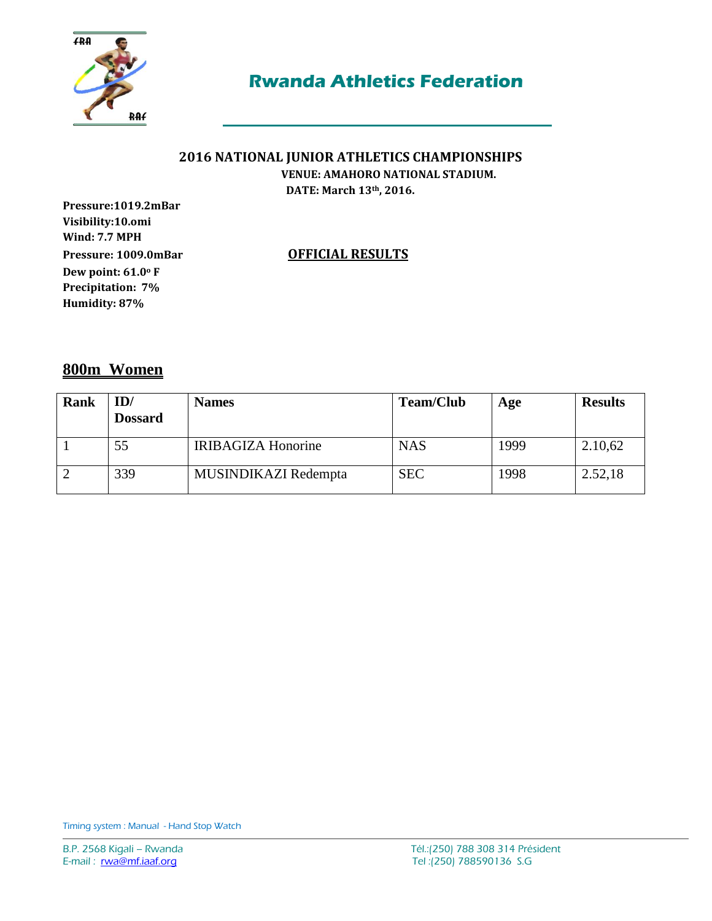

# **2016 NATIONAL JUNIOR ATHLETICS CHAMPIONSHIPS**

 **VENUE: AMAHORO NATIONAL STADIUM. DATE: March 13th, 2016.**

**Pressure:1019.2mBar Visibility:10.omi Wind: 7.7 MPH Pressure: 1009.0mBar OFFICIAL RESULTS Dew point: 61.0<sup>o</sup> F Precipitation: 7% Humidity: 87%**

## **800m Women**

| Rank | ID/<br><b>Dossard</b> | <b>Names</b>              | <b>Team/Club</b> | Age  | <b>Results</b> |
|------|-----------------------|---------------------------|------------------|------|----------------|
|      | 55                    | <b>IRIBAGIZA Honorine</b> | <b>NAS</b>       | 1999 | 2.10,62        |
|      | 339                   | MUSINDIKAZI Redempta      | <b>SEC</b>       | 1998 | 2.52,18        |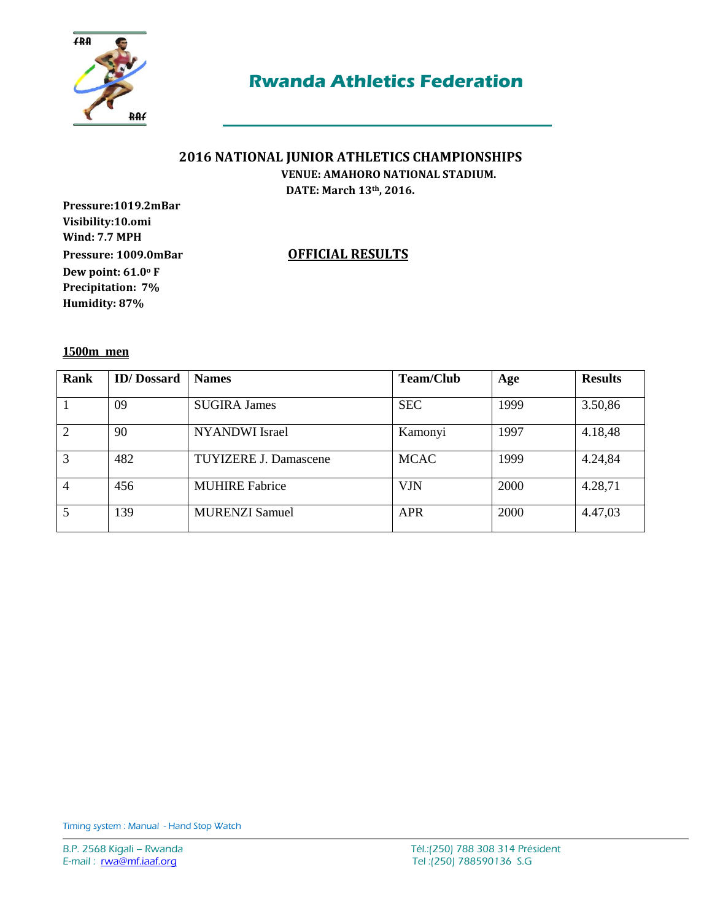

### **2016 NATIONAL JUNIOR ATHLETICS CHAMPIONSHIPS VENUE: AMAHORO NATIONAL STADIUM.**

**DATE: March 13th, 2016.**

**Pressure:1019.2mBar Visibility:10.omi Wind: 7.7 MPH Pressure: 1009.0mBar OFFICIAL RESULTS Dew point: 61.0<sup>o</sup> F Precipitation: 7% Humidity: 87%**

**1500m men** 

| <b>Rank</b>    | <b>ID</b> /Dossard | <b>Names</b>                 | <b>Team/Club</b> | Age  | <b>Results</b> |
|----------------|--------------------|------------------------------|------------------|------|----------------|
|                | 09                 | <b>SUGIRA James</b>          | <b>SEC</b>       | 1999 | 3.50,86        |
| $\overline{2}$ | 90                 | <b>NYANDWI</b> Israel        | Kamonyi          | 1997 | 4.18,48        |
| 3              | 482                | <b>TUYIZERE J. Damascene</b> | <b>MCAC</b>      | 1999 | 4.24,84        |
| 4              | 456                | <b>MUHIRE Fabrice</b>        | <b>VJN</b>       | 2000 | 4.28,71        |
| 5              | 139                | <b>MURENZI Samuel</b>        | <b>APR</b>       | 2000 | 4.47,03        |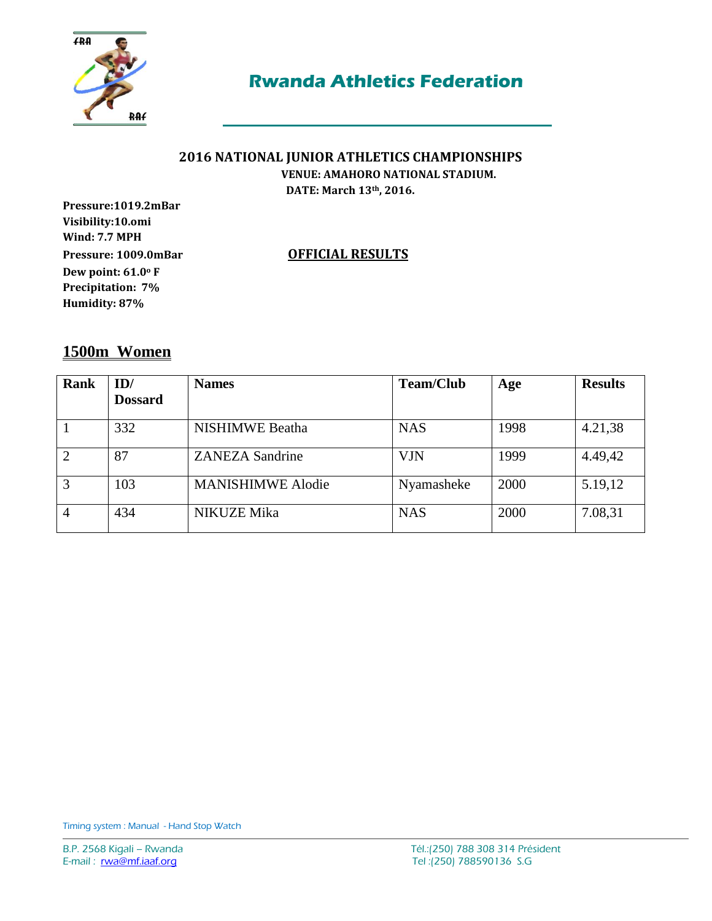

# **2016 NATIONAL JUNIOR ATHLETICS CHAMPIONSHIPS**

 **VENUE: AMAHORO NATIONAL STADIUM. DATE: March 13th, 2016.**

**Pressure:1019.2mBar Visibility:10.omi Wind: 7.7 MPH Pressure: 1009.0mBar OFFICIAL RESULTS Dew point: 61.0<sup>o</sup> F Precipitation: 7% Humidity: 87%**

### **1500m Women**

| Rank | ID/<br><b>Dossard</b> | <b>Names</b>             | <b>Team/Club</b> | Age  | <b>Results</b> |
|------|-----------------------|--------------------------|------------------|------|----------------|
|      | 332                   | <b>NISHIMWE</b> Beatha   | <b>NAS</b>       | 1998 | 4.21,38        |
|      | 87                    | <b>ZANEZA Sandrine</b>   | <b>VJN</b>       | 1999 | 4.49,42        |
| 3    | 103                   | <b>MANISHIMWE Alodie</b> | Nyamasheke       | 2000 | 5.19,12        |
| 4    | 434                   | <b>NIKUZE Mika</b>       | <b>NAS</b>       | 2000 | 7.08,31        |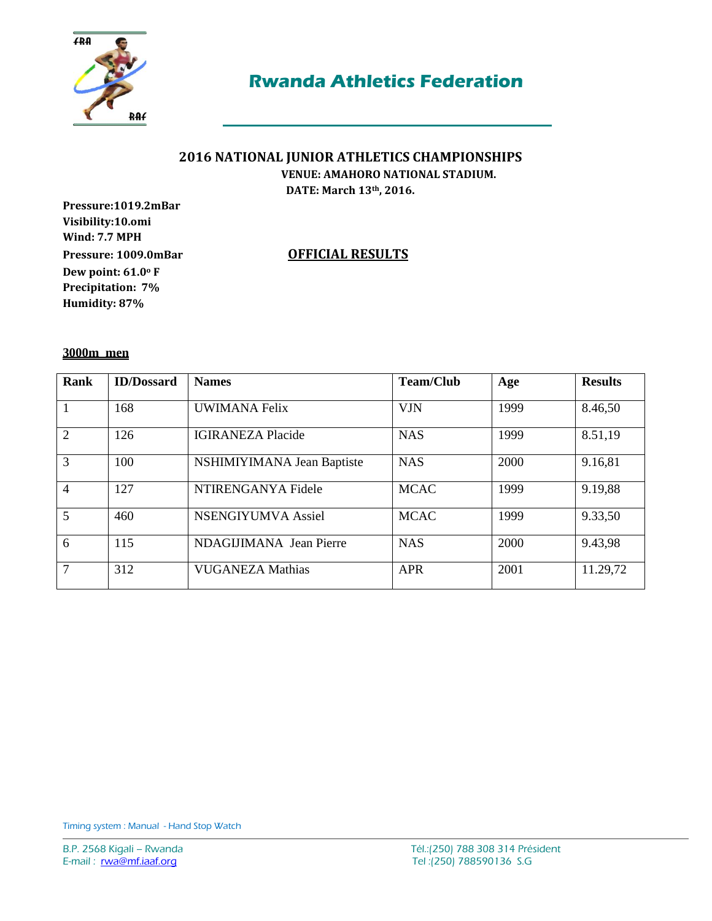

### **2016 NATIONAL JUNIOR ATHLETICS CHAMPIONSHIPS VENUE: AMAHORO NATIONAL STADIUM.**

**DATE: March 13th, 2016.**

**Pressure:1019.2mBar Visibility:10.omi Wind: 7.7 MPH Pressure: 1009.0mBar OFFICIAL RESULTS Dew point: 61.0<sup>o</sup> F Precipitation: 7% Humidity: 87%**

**3000m men** 

| Rank           | <b>ID/Dossard</b> | <b>Names</b>               | <b>Team/Club</b> | Age  | <b>Results</b> |
|----------------|-------------------|----------------------------|------------------|------|----------------|
|                | 168               | UWIMANA Felix              | <b>VJN</b>       | 1999 | 8.46,50        |
| $\overline{2}$ | 126               | <b>IGIRANEZA Placide</b>   | <b>NAS</b>       | 1999 | 8.51,19        |
| 3              | 100               | NSHIMIYIMANA Jean Baptiste | <b>NAS</b>       | 2000 | 9.16,81        |
| $\overline{4}$ | 127               | NTIRENGANYA Fidele         | <b>MCAC</b>      | 1999 | 9.19,88        |
| 5              | 460               | NSENGIYUMVA Assiel         | <b>MCAC</b>      | 1999 | 9.33,50        |
| 6              | 115               | NDAGIJIMANA Jean Pierre    | <b>NAS</b>       | 2000 | 9.43,98        |
| $\overline{7}$ | 312               | <b>VUGANEZA Mathias</b>    | <b>APR</b>       | 2001 | 11.29,72       |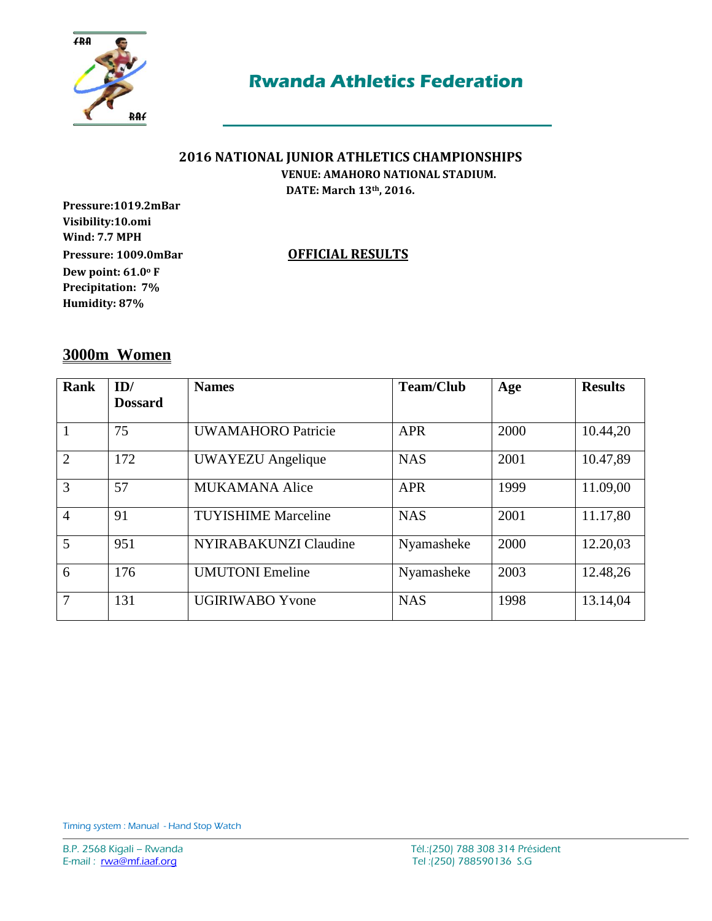

# **2016 NATIONAL JUNIOR ATHLETICS CHAMPIONSHIPS**

 **VENUE: AMAHORO NATIONAL STADIUM. DATE: March 13th, 2016.**

**Pressure:1019.2mBar Visibility:10.omi Wind: 7.7 MPH Pressure: 1009.0mBar OFFICIAL RESULTS Dew point: 61.0<sup>o</sup> F Precipitation: 7% Humidity: 87%**

### **3000m Women**

| <b>Rank</b>    | ID/<br><b>Dossard</b> | <b>Names</b>               | <b>Team/Club</b> | Age  | <b>Results</b> |
|----------------|-----------------------|----------------------------|------------------|------|----------------|
|                | 75                    | <b>UWAMAHORO</b> Patricie  | <b>APR</b>       | 2000 | 10.44,20       |
| $\overline{2}$ | 172                   | <b>UWAYEZU</b> Angelique   | <b>NAS</b>       | 2001 | 10.47,89       |
| 3              | 57                    | <b>MUKAMANA Alice</b>      | <b>APR</b>       | 1999 | 11.09,00       |
| $\overline{4}$ | 91                    | <b>TUYISHIME Marceline</b> | <b>NAS</b>       | 2001 | 11.17,80       |
| 5              | 951                   | NYIRABAKUNZI Claudine      | Nyamasheke       | 2000 | 12.20,03       |
| 6              | 176                   | <b>UMUTONI</b> Emeline     | Nyamasheke       | 2003 | 12.48,26       |
| 7              | 131                   | <b>UGIRIWABO Yvone</b>     | <b>NAS</b>       | 1998 | 13.14,04       |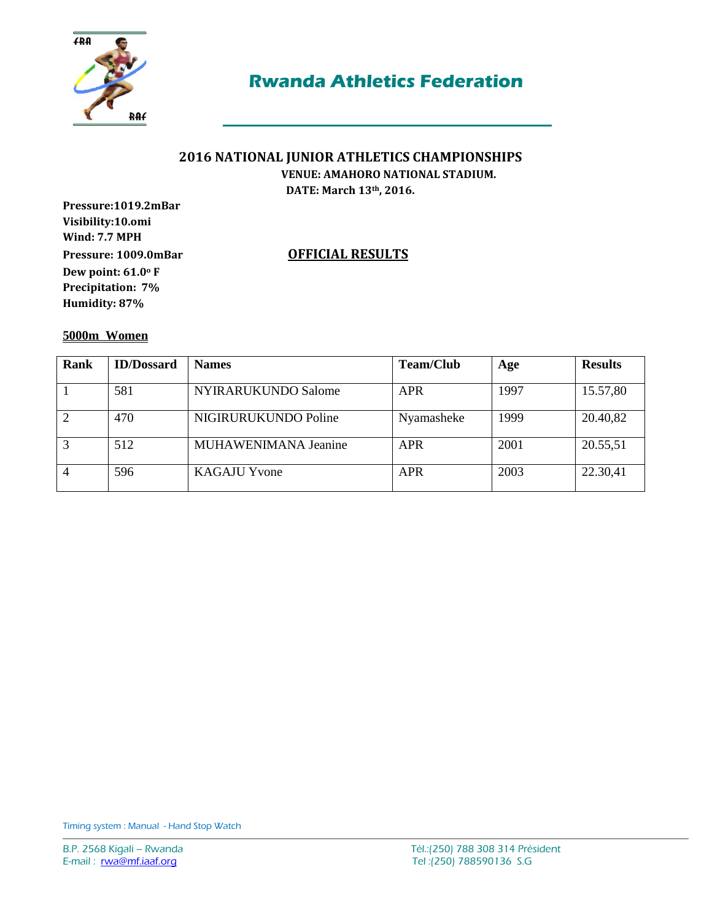

### **2016 NATIONAL JUNIOR ATHLETICS CHAMPIONSHIPS VENUE: AMAHORO NATIONAL STADIUM.**

**DATE: March 13th, 2016.**

**Pressure:1019.2mBar Visibility:10.omi Wind: 7.7 MPH Pressure: 1009.0mBar OFFICIAL RESULTS Dew point: 61.0<sup>o</sup> F Precipitation: 7% Humidity: 87%**

**5000m Women** 

| Rank | <b>ID/Dossard</b> | <b>Names</b>         | <b>Team/Club</b> | Age  | <b>Results</b> |
|------|-------------------|----------------------|------------------|------|----------------|
|      | 581               | NYIRARUKUNDO Salome  | <b>APR</b>       | 1997 | 15.57,80       |
|      | 470               | NIGIRURUKUNDO Poline | Nyamasheke       | 1999 | 20.40,82       |
|      | 512               | MUHAWENIMANA Jeanine | <b>APR</b>       | 2001 | 20.55,51       |
|      | 596               | <b>KAGAJU Yvone</b>  | <b>APR</b>       | 2003 | 22.30,41       |